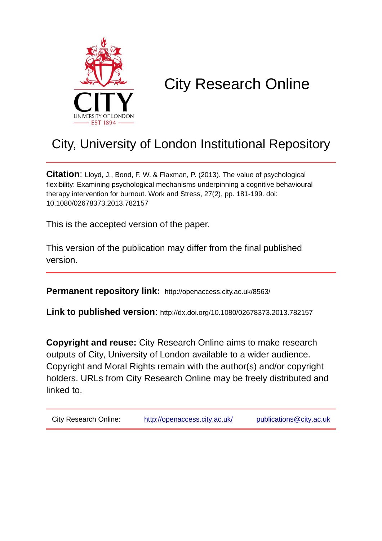

# City Research Online

## City, University of London Institutional Repository

**Citation**: Lloyd, J., Bond, F. W. & Flaxman, P. (2013). The value of psychological flexibility: Examining psychological mechanisms underpinning a cognitive behavioural therapy intervention for burnout. Work and Stress, 27(2), pp. 181-199. doi: 10.1080/02678373.2013.782157

This is the accepted version of the paper.

This version of the publication may differ from the final published version.

**Permanent repository link:** http://openaccess.city.ac.uk/8563/

**Link to published version**: http://dx.doi.org/10.1080/02678373.2013.782157

**Copyright and reuse:** City Research Online aims to make research outputs of City, University of London available to a wider audience. Copyright and Moral Rights remain with the author(s) and/or copyright holders. URLs from City Research Online may be freely distributed and linked to.

| <b>City Research Online:</b> | http://openaccess.city.ac.uk/ | publications@city.ac.uk |
|------------------------------|-------------------------------|-------------------------|
|                              |                               |                         |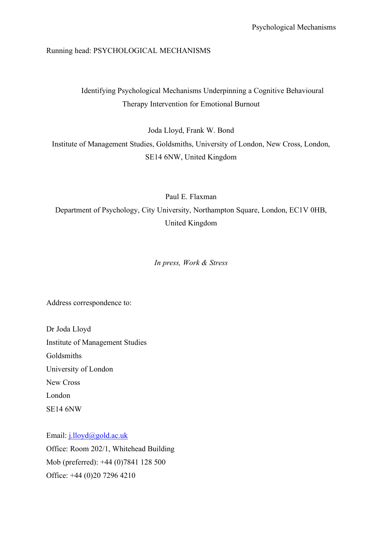## Running head: PSYCHOLOGICAL MECHANISMS

## Identifying Psychological Mechanisms Underpinning a Cognitive Behavioural Therapy Intervention for Emotional Burnout

Joda Lloyd, Frank W. Bond

Institute of Management Studies, Goldsmiths, University of London, New Cross, London, SE14 6NW, United Kingdom

Paul E. Flaxman

Department of Psychology, City University, Northampton Square, London, EC1V 0HB, United Kingdom

*In press, Work & Stress*

Address correspondence to:

Dr Joda Lloyd Institute of Management Studies Goldsmiths University of London New Cross London SE14 6NW

Email: j.lloyd@gold.ac.uk Office: Room 202/1, Whitehead Building Mob (preferred): +44 (0)7841 128 500 Office: +44 (0)20 7296 4210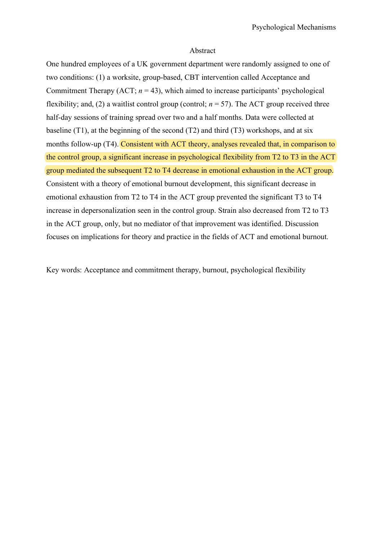### Abstract

One hundred employees of a UK government department were randomly assigned to one of two conditions: (1) a worksite, group-based, CBT intervention called Acceptance and Commitment Therapy  $(ACT; n = 43)$ , which aimed to increase participants' psychological flexibility; and, (2) a waitlist control group (control;  $n = 57$ ). The ACT group received three half-day sessions of training spread over two and a half months. Data were collected at baseline (T1), at the beginning of the second (T2) and third (T3) workshops, and at six months follow-up (T4). Consistent with ACT theory, analyses revealed that, in comparison to the control group, a significant increase in psychological flexibility from T2 to T3 in the ACT group mediated the subsequent T2 to T4 decrease in emotional exhaustion in the ACT group. Consistent with a theory of emotional burnout development, this significant decrease in emotional exhaustion from T2 to T4 in the ACT group prevented the significant T3 to T4 increase in depersonalization seen in the control group. Strain also decreased from T2 to T3 in the ACT group, only, but no mediator of that improvement was identified. Discussion focuses on implications for theory and practice in the fields of ACT and emotional burnout.

Key words: Acceptance and commitment therapy, burnout, psychological flexibility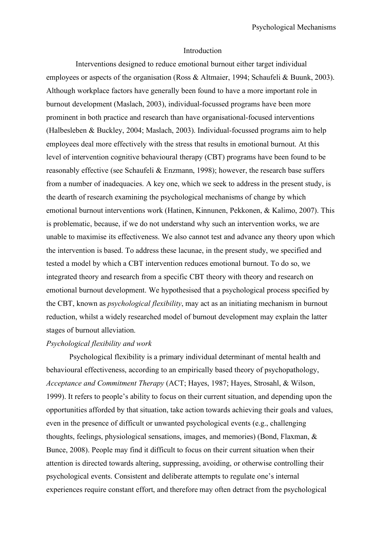#### Introduction

Interventions designed to reduce emotional burnout either target individual employees or aspects of the organisation (Ross & Altmaier, 1994; Schaufeli & Buunk, 2003). Although workplace factors have generally been found to have a more important role in burnout development (Maslach, 2003), individual-focussed programs have been more prominent in both practice and research than have organisational-focused interventions (Halbesleben & Buckley, 2004; Maslach, 2003). Individual-focussed programs aim to help employees deal more effectively with the stress that results in emotional burnout. At this level of intervention cognitive behavioural therapy (CBT) programs have been found to be reasonably effective (see Schaufeli & Enzmann, 1998); however, the research base suffers from a number of inadequacies. A key one, which we seek to address in the present study, is the dearth of research examining the psychological mechanisms of change by which emotional burnout interventions work (Hatinen, Kinnunen, Pekkonen, & Kalimo, 2007). This is problematic, because, if we do not understand why such an intervention works, we are unable to maximise its effectiveness. We also cannot test and advance any theory upon which the intervention is based. To address these lacunae, in the present study, we specified and tested a model by which a CBT intervention reduces emotional burnout. To do so, we integrated theory and research from a specific CBT theory with theory and research on emotional burnout development. We hypothesised that a psychological process specified by the CBT, known as *psychological flexibility*, may act as an initiating mechanism in burnout reduction, whilst a widely researched model of burnout development may explain the latter stages of burnout alleviation.

## *Psychological flexibility and work*

Psychological flexibility is a primary individual determinant of mental health and behavioural effectiveness, according to an empirically based theory of psychopathology, *Acceptance and Commitment Therapy* (ACT; Hayes, 1987; Hayes, Strosahl, & Wilson, 1999). It refers to people's ability to focus on their current situation, and depending upon the opportunities afforded by that situation, take action towards achieving their goals and values, even in the presence of difficult or unwanted psychological events (e.g., challenging thoughts, feelings, physiological sensations, images, and memories) (Bond, Flaxman, & Bunce, 2008). People may find it difficult to focus on their current situation when their attention is directed towards altering, suppressing, avoiding, or otherwise controlling their psychological events. Consistent and deliberate attempts to regulate one's internal experiences require constant effort, and therefore may often detract from the psychological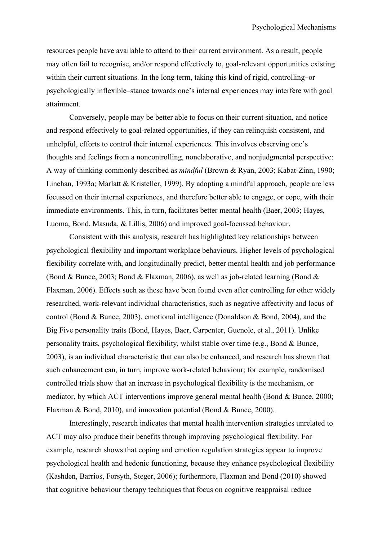resources people have available to attend to their current environment. As a result, people may often fail to recognise, and/or respond effectively to, goal-relevant opportunities existing within their current situations. In the long term, taking this kind of rigid, controlling–or psychologically inflexible–stance towards one's internal experiences may interfere with goal attainment.

Conversely, people may be better able to focus on their current situation, and notice and respond effectively to goal-related opportunities, if they can relinquish consistent, and unhelpful, efforts to control their internal experiences. This involves observing one's thoughts and feelings from a noncontrolling, nonelaborative, and nonjudgmental perspective: A way of thinking commonly described as *mindful* (Brown & Ryan, 2003; Kabat-Zinn, 1990; Linehan, 1993a; Marlatt & Kristeller, 1999). By adopting a mindful approach, people are less focussed on their internal experiences, and therefore better able to engage, or cope, with their immediate environments. This, in turn, facilitates better mental health (Baer, 2003; Hayes, Luoma, Bond, Masuda, & Lillis, 2006) and improved goal-focussed behaviour.

Consistent with this analysis, research has highlighted key relationships between psychological flexibility and important workplace behaviours. Higher levels of psychological flexibility correlate with, and longitudinally predict, better mental health and job performance (Bond & Bunce, 2003; Bond & Flaxman, 2006), as well as job-related learning (Bond & Flaxman, 2006). Effects such as these have been found even after controlling for other widely researched, work-relevant individual characteristics, such as negative affectivity and locus of control (Bond & Bunce, 2003), emotional intelligence (Donaldson & Bond, 2004), and the Big Five personality traits (Bond, Hayes, Baer, Carpenter, Guenole, et al., 2011). Unlike personality traits, psychological flexibility, whilst stable over time (e.g., Bond & Bunce, 2003), is an individual characteristic that can also be enhanced, and research has shown that such enhancement can, in turn, improve work-related behaviour; for example, randomised controlled trials show that an increase in psychological flexibility is the mechanism, or mediator, by which ACT interventions improve general mental health (Bond & Bunce, 2000; Flaxman & Bond, 2010), and innovation potential (Bond & Bunce, 2000).

Interestingly, research indicates that mental health intervention strategies unrelated to ACT may also produce their benefits through improving psychological flexibility. For example, research shows that coping and emotion regulation strategies appear to improve psychological health and hedonic functioning, because they enhance psychological flexibility (Kashden, Barrios, Forsyth, Steger, 2006); furthermore, Flaxman and Bond (2010) showed that cognitive behaviour therapy techniques that focus on cognitive reappraisal reduce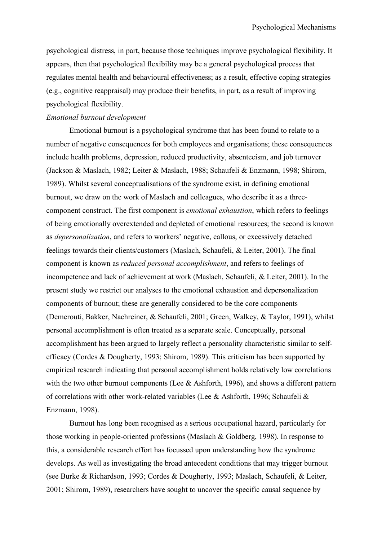psychological distress, in part, because those techniques improve psychological flexibility. It appears, then that psychological flexibility may be a general psychological process that regulates mental health and behavioural effectiveness; as a result, effective coping strategies (e.g., cognitive reappraisal) may produce their benefits, in part, as a result of improving psychological flexibility.

## *Emotional burnout development*

Emotional burnout is a psychological syndrome that has been found to relate to a number of negative consequences for both employees and organisations; these consequences include health problems, depression, reduced productivity, absenteeism, and job turnover (Jackson & Maslach, 1982; Leiter & Maslach, 1988; Schaufeli & Enzmann, 1998; Shirom, 1989). Whilst several conceptualisations of the syndrome exist, in defining emotional burnout, we draw on the work of Maslach and colleagues, who describe it as a threecomponent construct. The first component is *emotional exhaustion*, which refers to feelings of being emotionally overextended and depleted of emotional resources; the second is known as *depersonalization*, and refers to workers' negative, callous, or excessively detached feelings towards their clients/customers (Maslach, Schaufeli, & Leiter, 2001). The final component is known as *reduced personal accomplishment*, and refers to feelings of incompetence and lack of achievement at work (Maslach, Schaufeli, & Leiter, 2001). In the present study we restrict our analyses to the emotional exhaustion and depersonalization components of burnout; these are generally considered to be the core components (Demerouti, Bakker, Nachreiner, & Schaufeli, 2001; Green, Walkey, & Taylor, 1991), whilst personal accomplishment is often treated as a separate scale. Conceptually, personal accomplishment has been argued to largely reflect a personality characteristic similar to selfefficacy (Cordes & Dougherty, 1993; Shirom, 1989). This criticism has been supported by empirical research indicating that personal accomplishment holds relatively low correlations with the two other burnout components (Lee & Ashforth, 1996), and shows a different pattern of correlations with other work-related variables (Lee & Ashforth, 1996; Schaufeli & Enzmann, 1998).

Burnout has long been recognised as a serious occupational hazard, particularly for those working in people-oriented professions (Maslach & Goldberg, 1998). In response to this, a considerable research effort has focussed upon understanding how the syndrome develops. As well as investigating the broad antecedent conditions that may trigger burnout (see Burke & Richardson, 1993; Cordes & Dougherty, 1993; Maslach, Schaufeli, & Leiter, 2001; Shirom, 1989), researchers have sought to uncover the specific causal sequence by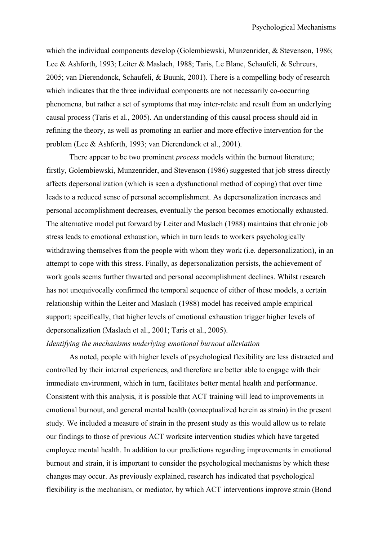which the individual components develop (Golembiewski, Munzenrider, & Stevenson, 1986; Lee & Ashforth, 1993; Leiter & Maslach, 1988; Taris, Le Blanc, Schaufeli, & Schreurs, 2005; van Dierendonck, Schaufeli, & Buunk, 2001). There is a compelling body of research which indicates that the three individual components are not necessarily co-occurring phenomena, but rather a set of symptoms that may inter-relate and result from an underlying causal process (Taris et al., 2005). An understanding of this causal process should aid in refining the theory, as well as promoting an earlier and more effective intervention for the problem (Lee & Ashforth, 1993; van Dierendonck et al., 2001).

There appear to be two prominent *process* models within the burnout literature; firstly, Golembiewski, Munzenrider, and Stevenson (1986) suggested that job stress directly affects depersonalization (which is seen a dysfunctional method of coping) that over time leads to a reduced sense of personal accomplishment. As depersonalization increases and personal accomplishment decreases, eventually the person becomes emotionally exhausted. The alternative model put forward by Leiter and Maslach (1988) maintains that chronic job stress leads to emotional exhaustion, which in turn leads to workers psychologically withdrawing themselves from the people with whom they work (i.e. depersonalization), in an attempt to cope with this stress. Finally, as depersonalization persists, the achievement of work goals seems further thwarted and personal accomplishment declines. Whilst research has not unequivocally confirmed the temporal sequence of either of these models, a certain relationship within the Leiter and Maslach (1988) model has received ample empirical support; specifically, that higher levels of emotional exhaustion trigger higher levels of depersonalization (Maslach et al., 2001; Taris et al., 2005).

## *Identifying the mechanisms underlying emotional burnout alleviation*

As noted, people with higher levels of psychological flexibility are less distracted and controlled by their internal experiences, and therefore are better able to engage with their immediate environment, which in turn, facilitates better mental health and performance. Consistent with this analysis, it is possible that ACT training will lead to improvements in emotional burnout, and general mental health (conceptualized herein as strain) in the present study. We included a measure of strain in the present study as this would allow us to relate our findings to those of previous ACT worksite intervention studies which have targeted employee mental health. In addition to our predictions regarding improvements in emotional burnout and strain, it is important to consider the psychological mechanisms by which these changes may occur. As previously explained, research has indicated that psychological flexibility is the mechanism, or mediator, by which ACT interventions improve strain (Bond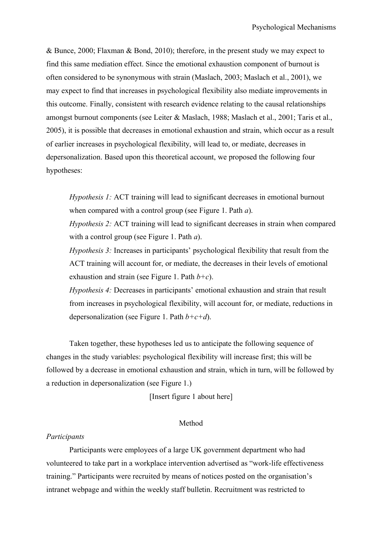& Bunce, 2000; Flaxman & Bond, 2010); therefore, in the present study we may expect to find this same mediation effect. Since the emotional exhaustion component of burnout is often considered to be synonymous with strain (Maslach, 2003; Maslach et al., 2001), we may expect to find that increases in psychological flexibility also mediate improvements in this outcome. Finally, consistent with research evidence relating to the causal relationships amongst burnout components (see Leiter & Maslach, 1988; Maslach et al., 2001; Taris et al., 2005), it is possible that decreases in emotional exhaustion and strain, which occur as a result of earlier increases in psychological flexibility, will lead to, or mediate, decreases in depersonalization. Based upon this theoretical account, we proposed the following four hypotheses:

*Hypothesis 1:* ACT training will lead to significant decreases in emotional burnout when compared with a control group (see Figure 1. Path *a*).

*Hypothesis 2:* ACT training will lead to significant decreases in strain when compared with a control group (see Figure 1. Path *a*).

*Hypothesis 3:* Increases in participants' psychological flexibility that result from the ACT training will account for, or mediate, the decreases in their levels of emotional exhaustion and strain (see Figure 1. Path *b+c*).

*Hypothesis 4:* Decreases in participants' emotional exhaustion and strain that result from increases in psychological flexibility, will account for, or mediate, reductions in depersonalization (see Figure 1. Path *b+c+d*).

Taken together, these hypotheses led us to anticipate the following sequence of changes in the study variables: psychological flexibility will increase first; this will be followed by a decrease in emotional exhaustion and strain, which in turn, will be followed by a reduction in depersonalization (see Figure 1.)

[Insert figure 1 about here]

## Method

### *Participants*

Participants were employees of a large UK government department who had volunteered to take part in a workplace intervention advertised as "work-life effectiveness training." Participants were recruited by means of notices posted on the organisation's intranet webpage and within the weekly staff bulletin. Recruitment was restricted to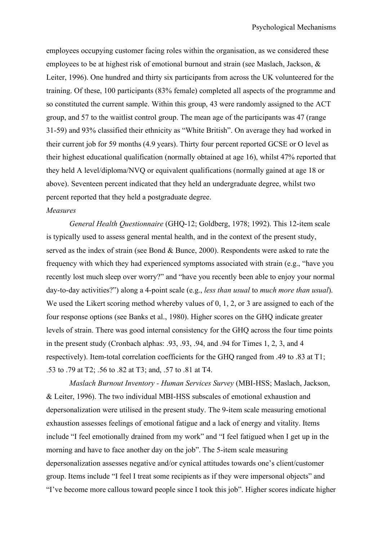employees occupying customer facing roles within the organisation, as we considered these employees to be at highest risk of emotional burnout and strain (see Maslach, Jackson, & Leiter, 1996). One hundred and thirty six participants from across the UK volunteered for the training. Of these, 100 participants (83% female) completed all aspects of the programme and so constituted the current sample. Within this group, 43 were randomly assigned to the ACT group, and 57 to the waitlist control group. The mean age of the participants was 47 (range 31-59) and 93% classified their ethnicity as "White British". On average they had worked in their current job for 59 months (4.9 years). Thirty four percent reported GCSE or O level as their highest educational qualification (normally obtained at age 16), whilst 47% reported that they held A level/diploma/NVQ or equivalent qualifications (normally gained at age 18 or above). Seventeen percent indicated that they held an undergraduate degree, whilst two percent reported that they held a postgraduate degree.

### *Measures*

*General Health Questionnaire* (GHQ-12; Goldberg, 1978; 1992). This 12-item scale is typically used to assess general mental health, and in the context of the present study, served as the index of strain (see Bond & Bunce, 2000). Respondents were asked to rate the frequency with which they had experienced symptoms associated with strain (e.g., "have you recently lost much sleep over worry?" and "have you recently been able to enjoy your normal day-to-day activities?") along a 4-point scale (e.g., *less than usual* to *much more than usual*). We used the Likert scoring method whereby values of 0, 1, 2, or 3 are assigned to each of the four response options (see Banks et al., 1980). Higher scores on the GHQ indicate greater levels of strain. There was good internal consistency for the GHQ across the four time points in the present study (Cronbach alphas: .93, .93, .94, and .94 for Times 1, 2, 3, and 4 respectively). Item-total correlation coefficients for the GHQ ranged from .49 to .83 at T1; .53 to .79 at T2; .56 to .82 at T3; and, .57 to .81 at T4.

*Maslach Burnout Inventory - Human Services Survey* (MBI-HSS; Maslach, Jackson, & Leiter, 1996). The two individual MBI-HSS subscales of emotional exhaustion and depersonalization were utilised in the present study. The 9-item scale measuring emotional exhaustion assesses feelings of emotional fatigue and a lack of energy and vitality. Items include "I feel emotionally drained from my work" and "I feel fatigued when I get up in the morning and have to face another day on the job". The 5-item scale measuring depersonalization assesses negative and/or cynical attitudes towards one's client/customer group. Items include "I feel I treat some recipients as if they were impersonal objects" and "I've become more callous toward people since I took this job". Higher scores indicate higher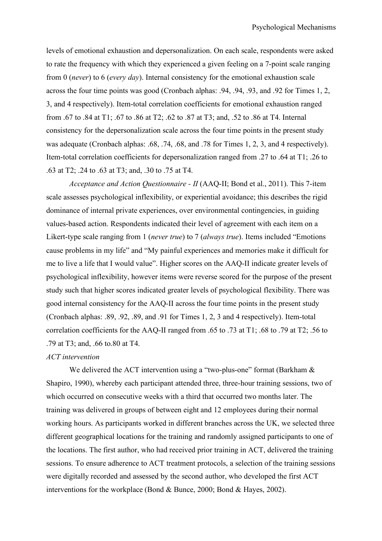levels of emotional exhaustion and depersonalization. On each scale, respondents were asked to rate the frequency with which they experienced a given feeling on a 7-point scale ranging from 0 (*never*) to 6 (*every day*). Internal consistency for the emotional exhaustion scale across the four time points was good (Cronbach alphas: .94, .94, .93, and .92 for Times 1, 2, 3, and 4 respectively). Item-total correlation coefficients for emotional exhaustion ranged from .67 to .84 at T1; .67 to .86 at T2; .62 to .87 at T3; and, .52 to .86 at T4. Internal consistency for the depersonalization scale across the four time points in the present study was adequate (Cronbach alphas: .68, .74, .68, and .78 for Times 1, 2, 3, and 4 respectively). Item-total correlation coefficients for depersonalization ranged from .27 to .64 at T1; .26 to .63 at T2; .24 to .63 at T3; and, .30 to .75 at T4.

*Acceptance and Action Questionnaire - II* (AAQ-II; Bond et al., 2011). This 7-item scale assesses psychological inflexibility, or experiential avoidance; this describes the rigid dominance of internal private experiences, over environmental contingencies, in guiding values-based action. Respondents indicated their level of agreement with each item on a Likert-type scale ranging from 1 (*never true*) to 7 (*always true*). Items included "Emotions cause problems in my life" and "My painful experiences and memories make it difficult for me to live a life that I would value". Higher scores on the AAQ-II indicate greater levels of psychological inflexibility, however items were reverse scored for the purpose of the present study such that higher scores indicated greater levels of psychological flexibility. There was good internal consistency for the AAQ-II across the four time points in the present study (Cronbach alphas: .89, .92, .89, and .91 for Times 1, 2, 3 and 4 respectively). Item-total correlation coefficients for the AAQ-II ranged from .65 to .73 at T1; .68 to .79 at T2; .56 to .79 at T3; and, .66 to.80 at T4.

## *ACT intervention*

We delivered the ACT intervention using a "two-plus-one" format (Barkham  $\&$ Shapiro, 1990), whereby each participant attended three, three-hour training sessions, two of which occurred on consecutive weeks with a third that occurred two months later. The training was delivered in groups of between eight and 12 employees during their normal working hours. As participants worked in different branches across the UK, we selected three different geographical locations for the training and randomly assigned participants to one of the locations. The first author, who had received prior training in ACT, delivered the training sessions. To ensure adherence to ACT treatment protocols, a selection of the training sessions were digitally recorded and assessed by the second author, who developed the first ACT interventions for the workplace (Bond & Bunce, 2000; Bond & Hayes, 2002).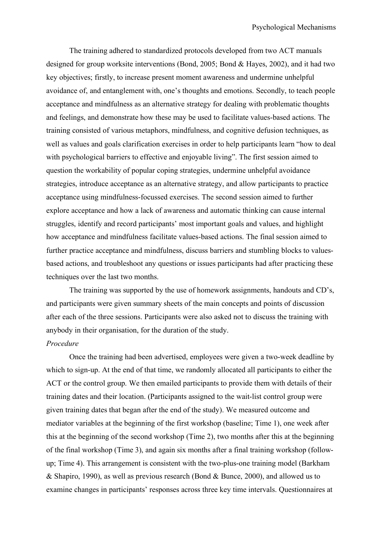The training adhered to standardized protocols developed from two ACT manuals designed for group worksite interventions (Bond, 2005; Bond & Hayes, 2002), and it had two key objectives; firstly, to increase present moment awareness and undermine unhelpful avoidance of, and entanglement with, one's thoughts and emotions. Secondly, to teach people acceptance and mindfulness as an alternative strategy for dealing with problematic thoughts and feelings, and demonstrate how these may be used to facilitate values-based actions. The training consisted of various metaphors, mindfulness, and cognitive defusion techniques, as well as values and goals clarification exercises in order to help participants learn "how to deal with psychological barriers to effective and enjoyable living". The first session aimed to question the workability of popular coping strategies, undermine unhelpful avoidance strategies, introduce acceptance as an alternative strategy, and allow participants to practice acceptance using mindfulness-focussed exercises. The second session aimed to further explore acceptance and how a lack of awareness and automatic thinking can cause internal struggles, identify and record participants' most important goals and values, and highlight how acceptance and mindfulness facilitate values-based actions. The final session aimed to further practice acceptance and mindfulness, discuss barriers and stumbling blocks to valuesbased actions, and troubleshoot any questions or issues participants had after practicing these techniques over the last two months.

The training was supported by the use of homework assignments, handouts and CD's, and participants were given summary sheets of the main concepts and points of discussion after each of the three sessions. Participants were also asked not to discuss the training with anybody in their organisation, for the duration of the study.

## *Procedure*

Once the training had been advertised, employees were given a two-week deadline by which to sign-up. At the end of that time, we randomly allocated all participants to either the ACT or the control group. We then emailed participants to provide them with details of their training dates and their location. (Participants assigned to the wait-list control group were given training dates that began after the end of the study). We measured outcome and mediator variables at the beginning of the first workshop (baseline; Time 1), one week after this at the beginning of the second workshop (Time 2), two months after this at the beginning of the final workshop (Time 3), and again six months after a final training workshop (followup; Time 4). This arrangement is consistent with the two-plus-one training model (Barkham & Shapiro, 1990), as well as previous research (Bond & Bunce, 2000), and allowed us to examine changes in participants' responses across three key time intervals. Questionnaires at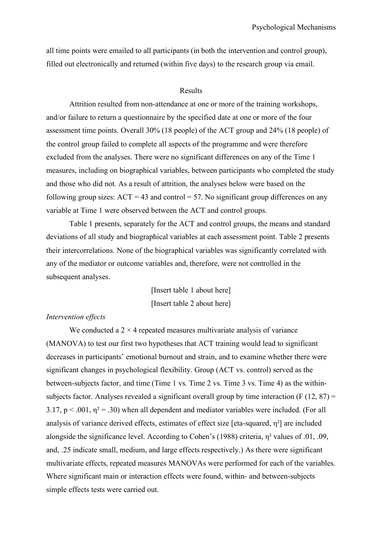all time points were emailed to all participants (in both the intervention and control group), filled out electronically and returned (within five days) to the research group via email.

## Results

Attrition resulted from non-attendance at one or more of the training workshops, and/or failure to return a questionnaire by the specified date at one or more of the four assessment time points. Overall 30% (18 people) of the ACT group and 24% (18 people) of the control group failed to complete all aspects of the programme and were therefore excluded from the analyses. There were no significant differences on any of the Time 1 measures, including on biographical variables, between participants who completed the study and those who did not. As a result of attrition, the analyses below were based on the following group sizes:  $ACT = 43$  and control = 57. No significant group differences on any variable at Time 1 were observed between the ACT and control groups.

Table 1 presents, separately for the ACT and control groups, the means and standard deviations of all study and biographical variables at each assessment point. Table 2 presents their intercorrelations. None of the biographical variables was significantly correlated with any of the mediator or outcome variables and, therefore, were not controlled in the subsequent analyses.

> [Insert table 1 about here] [Insert table 2 about here]

## *Intervention effects*

We conducted a  $2 \times 4$  repeated measures multivariate analysis of variance (MANOVA) to test our first two hypotheses that ACT training would lead to significant decreases in participants' emotional burnout and strain, and to examine whether there were significant changes in psychological flexibility. Group (ACT vs. control) served as the between-subjects factor, and time (Time 1 vs. Time 2 vs. Time 3 vs. Time 4) as the withinsubjects factor. Analyses revealed a significant overall group by time interaction  $(F (12, 87))$ 3.17,  $p < .001$ ,  $\eta^2 = .30$ ) when all dependent and mediator variables were included. (For all analysis of variance derived effects, estimates of effect size [eta-squared, η²] are included alongside the significance level. According to Cohen's (1988) criteria, η² values of .01, .09, and, .25 indicate small, medium, and large effects respectively.) As there were significant multivariate effects, repeated measures MANOVAs were performed for each of the variables. Where significant main or interaction effects were found, within- and between-subjects simple effects tests were carried out.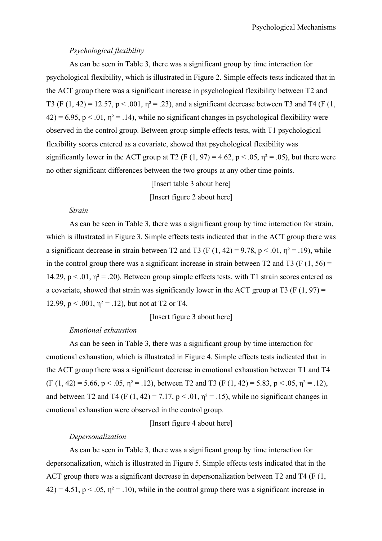## *Psychological flexibility*

As can be seen in Table 3, there was a significant group by time interaction for psychological flexibility, which is illustrated in Figure 2. Simple effects tests indicated that in the ACT group there was a significant increase in psychological flexibility between T2 and T3 (F (1, 42) = 12.57, p < .001,  $\eta^2$  = .23), and a significant decrease between T3 and T4 (F (1,  $42$ ) = 6.95, p < .01,  $\eta$ <sup>2</sup> = .14), while no significant changes in psychological flexibility were observed in the control group. Between group simple effects tests, with T1 psychological flexibility scores entered as a covariate, showed that psychological flexibility was significantly lower in the ACT group at T2 (F (1, 97) = 4.62, p < .05,  $\eta^2$  = .05), but there were no other significant differences between the two groups at any other time points.

[Insert table 3 about here]

[Insert figure 2 about here]

## *Strain*

As can be seen in Table 3, there was a significant group by time interaction for strain, which is illustrated in Figure 3. Simple effects tests indicated that in the ACT group there was a significant decrease in strain between T2 and T3 (F  $(1, 42) = 9.78$ , p < .01,  $\eta^2 = .19$ ), while in the control group there was a significant increase in strain between T2 and T3 (F  $(1, 56)$ ) = 14.29,  $p < 0.01$ ,  $\eta^2 = 0.20$ . Between group simple effects tests, with T1 strain scores entered as a covariate, showed that strain was significantly lower in the ACT group at T3 (F  $(1, 97)$  = 12.99,  $p < .001$ ,  $\eta^2 = .12$ ), but not at T2 or T4.

[Insert figure 3 about here]

## *Emotional exhaustion*

As can be seen in Table 3, there was a significant group by time interaction for emotional exhaustion, which is illustrated in Figure 4. Simple effects tests indicated that in the ACT group there was a significant decrease in emotional exhaustion between T1 and T4  $(F (1, 42) = 5.66, p < .05, \eta^2 = .12)$ , between T2 and T3  $(F (1, 42) = 5.83, p < .05, \eta^2 = .12)$ , and between T2 and T4 (F  $(1, 42) = 7.17$ ,  $p < .01$ ,  $p<sup>2</sup> = .15$ ), while no significant changes in emotional exhaustion were observed in the control group.

[Insert figure 4 about here]

## *Depersonalization*

As can be seen in Table 3, there was a significant group by time interaction for depersonalization, which is illustrated in Figure 5. Simple effects tests indicated that in the ACT group there was a significant decrease in depersonalization between T2 and T4 (F (1,  $42$ ) = 4.51, p < .05,  $\eta^2$  = .10), while in the control group there was a significant increase in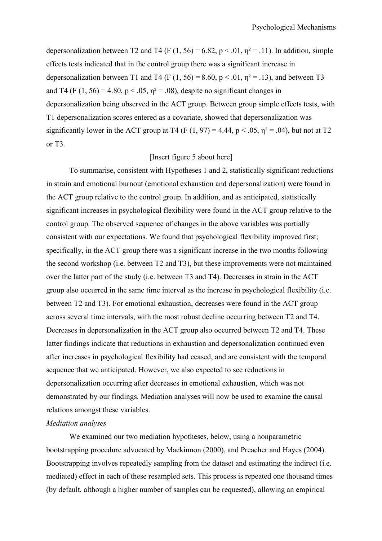depersonalization between T2 and T4 (F  $(1, 56) = 6.82$ , p < .01,  $\eta^2 = .11$ ). In addition, simple effects tests indicated that in the control group there was a significant increase in depersonalization between T1 and T4 (F (1, 56) = 8.60, p < .01,  $\eta^2$  = .13), and between T3 and T4 (F (1, 56) = 4.80, p < .05,  $\eta$ <sup>2</sup> = .08), despite no significant changes in depersonalization being observed in the ACT group. Between group simple effects tests, with T1 depersonalization scores entered as a covariate, showed that depersonalization was significantly lower in the ACT group at T4 (F (1, 97) = 4.44,  $p < .05$ ,  $\eta^2 = .04$ ), but not at T2 or T3.

## [Insert figure 5 about here]

To summarise, consistent with Hypotheses 1 and 2, statistically significant reductions in strain and emotional burnout (emotional exhaustion and depersonalization) were found in the ACT group relative to the control group. In addition, and as anticipated, statistically significant increases in psychological flexibility were found in the ACT group relative to the control group. The observed sequence of changes in the above variables was partially consistent with our expectations. We found that psychological flexibility improved first; specifically, in the ACT group there was a significant increase in the two months following the second workshop (i.e. between T2 and T3), but these improvements were not maintained over the latter part of the study (i.e. between T3 and T4). Decreases in strain in the ACT group also occurred in the same time interval as the increase in psychological flexibility (i.e. between T2 and T3). For emotional exhaustion, decreases were found in the ACT group across several time intervals, with the most robust decline occurring between T2 and T4. Decreases in depersonalization in the ACT group also occurred between T2 and T4. These latter findings indicate that reductions in exhaustion and depersonalization continued even after increases in psychological flexibility had ceased, and are consistent with the temporal sequence that we anticipated. However, we also expected to see reductions in depersonalization occurring after decreases in emotional exhaustion, which was not demonstrated by our findings. Mediation analyses will now be used to examine the causal relations amongst these variables.

## *Mediation analyses*

We examined our two mediation hypotheses, below, using a nonparametric bootstrapping procedure advocated by Mackinnon (2000), and Preacher and Hayes (2004). Bootstrapping involves repeatedly sampling from the dataset and estimating the indirect (i.e. mediated) effect in each of these resampled sets. This process is repeated one thousand times (by default, although a higher number of samples can be requested), allowing an empirical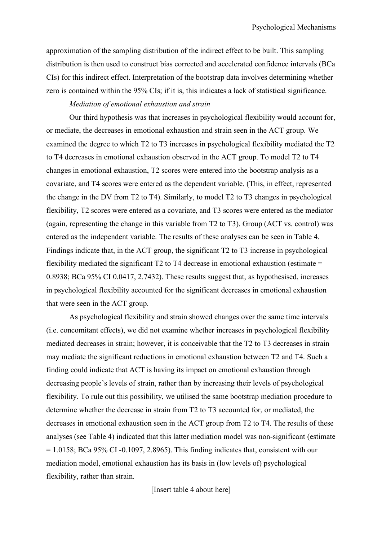approximation of the sampling distribution of the indirect effect to be built. This sampling distribution is then used to construct bias corrected and accelerated confidence intervals (BCa CIs) for this indirect effect. Interpretation of the bootstrap data involves determining whether zero is contained within the 95% CIs; if it is, this indicates a lack of statistical significance.

## *Mediation of emotional exhaustion and strain*

Our third hypothesis was that increases in psychological flexibility would account for, or mediate, the decreases in emotional exhaustion and strain seen in the ACT group. We examined the degree to which T2 to T3 increases in psychological flexibility mediated the T2 to T4 decreases in emotional exhaustion observed in the ACT group. To model T2 to T4 changes in emotional exhaustion, T2 scores were entered into the bootstrap analysis as a covariate, and T4 scores were entered as the dependent variable. (This, in effect, represented the change in the DV from T2 to T4). Similarly, to model T2 to T3 changes in psychological flexibility, T2 scores were entered as a covariate, and T3 scores were entered as the mediator (again, representing the change in this variable from T2 to T3). Group (ACT vs. control) was entered as the independent variable. The results of these analyses can be seen in Table 4. Findings indicate that, in the ACT group, the significant T2 to T3 increase in psychological flexibility mediated the significant  $T_2$  to T4 decrease in emotional exhaustion (estimate = 0.8938; BCa 95% CI 0.0417, 2.7432). These results suggest that, as hypothesised, increases in psychological flexibility accounted for the significant decreases in emotional exhaustion that were seen in the ACT group.

As psychological flexibility and strain showed changes over the same time intervals (i.e. concomitant effects), we did not examine whether increases in psychological flexibility mediated decreases in strain; however, it is conceivable that the T2 to T3 decreases in strain may mediate the significant reductions in emotional exhaustion between T2 and T4. Such a finding could indicate that ACT is having its impact on emotional exhaustion through decreasing people's levels of strain, rather than by increasing their levels of psychological flexibility. To rule out this possibility, we utilised the same bootstrap mediation procedure to determine whether the decrease in strain from T2 to T3 accounted for, or mediated, the decreases in emotional exhaustion seen in the ACT group from T2 to T4. The results of these analyses (see Table 4) indicated that this latter mediation model was non-significant (estimate  $= 1.0158$ ; BCa 95% CI -0.1097, 2.8965). This finding indicates that, consistent with our mediation model, emotional exhaustion has its basis in (low levels of) psychological flexibility, rather than strain.

[Insert table 4 about here]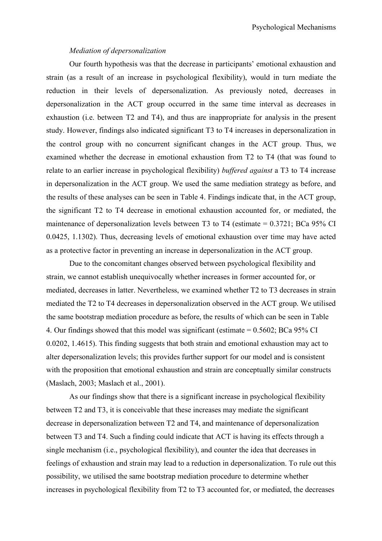## *Mediation of depersonalization*

Our fourth hypothesis was that the decrease in participants' emotional exhaustion and strain (as a result of an increase in psychological flexibility), would in turn mediate the reduction in their levels of depersonalization. As previously noted, decreases in depersonalization in the ACT group occurred in the same time interval as decreases in exhaustion (i.e. between T2 and T4), and thus are inappropriate for analysis in the present study. However, findings also indicated significant T3 to T4 increases in depersonalization in the control group with no concurrent significant changes in the ACT group. Thus, we examined whether the decrease in emotional exhaustion from T2 to T4 (that was found to relate to an earlier increase in psychological flexibility) *buffered against* a T3 to T4 increase in depersonalization in the ACT group. We used the same mediation strategy as before, and the results of these analyses can be seen in Table 4. Findings indicate that, in the ACT group, the significant T2 to T4 decrease in emotional exhaustion accounted for, or mediated, the maintenance of depersonalization levels between T3 to T4 (estimate = 0.3721; BCa 95% CI 0.0425, 1.1302). Thus, decreasing levels of emotional exhaustion over time may have acted as a protective factor in preventing an increase in depersonalization in the ACT group.

Due to the concomitant changes observed between psychological flexibility and strain, we cannot establish unequivocally whether increases in former accounted for, or mediated, decreases in latter. Nevertheless, we examined whether T2 to T3 decreases in strain mediated the T2 to T4 decreases in depersonalization observed in the ACT group. We utilised the same bootstrap mediation procedure as before, the results of which can be seen in Table 4. Our findings showed that this model was significant (estimate = 0.5602; BCa 95% CI 0.0202, 1.4615). This finding suggests that both strain and emotional exhaustion may act to alter depersonalization levels; this provides further support for our model and is consistent with the proposition that emotional exhaustion and strain are conceptually similar constructs (Maslach, 2003; Maslach et al., 2001).

As our findings show that there is a significant increase in psychological flexibility between T2 and T3, it is conceivable that these increases may mediate the significant decrease in depersonalization between T2 and T4, and maintenance of depersonalization between T3 and T4. Such a finding could indicate that ACT is having its effects through a single mechanism (i.e., psychological flexibility), and counter the idea that decreases in feelings of exhaustion and strain may lead to a reduction in depersonalization. To rule out this possibility, we utilised the same bootstrap mediation procedure to determine whether increases in psychological flexibility from T2 to T3 accounted for, or mediated, the decreases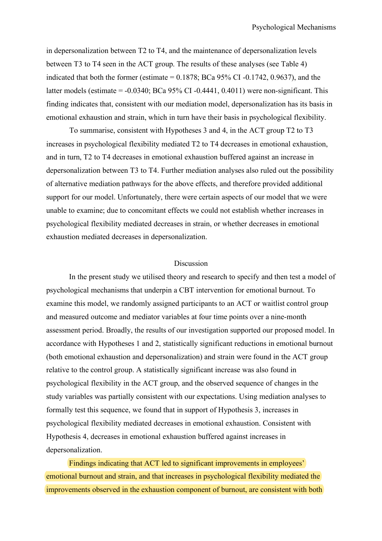in depersonalization between T2 to T4, and the maintenance of depersonalization levels between T3 to T4 seen in the ACT group. The results of these analyses (see Table 4) indicated that both the former (estimate  $= 0.1878$ ; BCa 95% CI -0.1742, 0.9637), and the latter models (estimate  $= -0.0340$ ; BCa 95% CI $-0.4441$ , 0.4011) were non-significant. This finding indicates that, consistent with our mediation model, depersonalization has its basis in emotional exhaustion and strain, which in turn have their basis in psychological flexibility.

To summarise, consistent with Hypotheses 3 and 4, in the ACT group T2 to T3 increases in psychological flexibility mediated T2 to T4 decreases in emotional exhaustion, and in turn, T2 to T4 decreases in emotional exhaustion buffered against an increase in depersonalization between T3 to T4. Further mediation analyses also ruled out the possibility of alternative mediation pathways for the above effects, and therefore provided additional support for our model. Unfortunately, there were certain aspects of our model that we were unable to examine; due to concomitant effects we could not establish whether increases in psychological flexibility mediated decreases in strain, or whether decreases in emotional exhaustion mediated decreases in depersonalization.

## Discussion

In the present study we utilised theory and research to specify and then test a model of psychological mechanisms that underpin a CBT intervention for emotional burnout. To examine this model, we randomly assigned participants to an ACT or waitlist control group and measured outcome and mediator variables at four time points over a nine-month assessment period. Broadly, the results of our investigation supported our proposed model. In accordance with Hypotheses 1 and 2, statistically significant reductions in emotional burnout (both emotional exhaustion and depersonalization) and strain were found in the ACT group relative to the control group. A statistically significant increase was also found in psychological flexibility in the ACT group, and the observed sequence of changes in the study variables was partially consistent with our expectations. Using mediation analyses to formally test this sequence, we found that in support of Hypothesis 3, increases in psychological flexibility mediated decreases in emotional exhaustion. Consistent with Hypothesis 4, decreases in emotional exhaustion buffered against increases in depersonalization.

Findings indicating that ACT led to significant improvements in employees' emotional burnout and strain, and that increases in psychological flexibility mediated the improvements observed in the exhaustion component of burnout, are consistent with both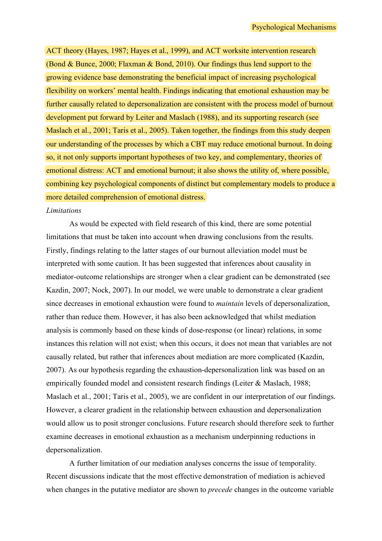ACT theory (Hayes, 1987; Hayes et al., 1999), and ACT worksite intervention research (Bond & Bunce, 2000; Flaxman & Bond, 2010). Our findings thus lend support to the growing evidence base demonstrating the beneficial impact of increasing psychological flexibility on workers' mental health. Findings indicating that emotional exhaustion may be further causally related to depersonalization are consistent with the process model of burnout development put forward by Leiter and Maslach (1988), and its supporting research (see Maslach et al., 2001; Taris et al., 2005). Taken together, the findings from this study deepen our understanding of the processes by which a CBT may reduce emotional burnout. In doing so, it not only supports important hypotheses of two key, and complementary, theories of emotional distress: ACT and emotional burnout; it also shows the utility of, where possible, combining key psychological components of distinct but complementary models to produce a more detailed comprehension of emotional distress.

#### *Limitations*

As would be expected with field research of this kind, there are some potential limitations that must be taken into account when drawing conclusions from the results. Firstly, findings relating to the latter stages of our burnout alleviation model must be interpreted with some caution. It has been suggested that inferences about causality in mediator-outcome relationships are stronger when a clear gradient can be demonstrated (see Kazdin, 2007; Nock, 2007). In our model, we were unable to demonstrate a clear gradient since decreases in emotional exhaustion were found to *maintain* levels of depersonalization, rather than reduce them. However, it has also been acknowledged that whilst mediation analysis is commonly based on these kinds of dose-response (or linear) relations, in some instances this relation will not exist; when this occurs, it does not mean that variables are not causally related, but rather that inferences about mediation are more complicated (Kazdin, 2007). As our hypothesis regarding the exhaustion-depersonalization link was based on an empirically founded model and consistent research findings (Leiter & Maslach, 1988; Maslach et al., 2001; Taris et al., 2005), we are confident in our interpretation of our findings. However, a clearer gradient in the relationship between exhaustion and depersonalization would allow us to posit stronger conclusions. Future research should therefore seek to further examine decreases in emotional exhaustion as a mechanism underpinning reductions in depersonalization.

A further limitation of our mediation analyses concerns the issue of temporality. Recent discussions indicate that the most effective demonstration of mediation is achieved when changes in the putative mediator are shown to *precede* changes in the outcome variable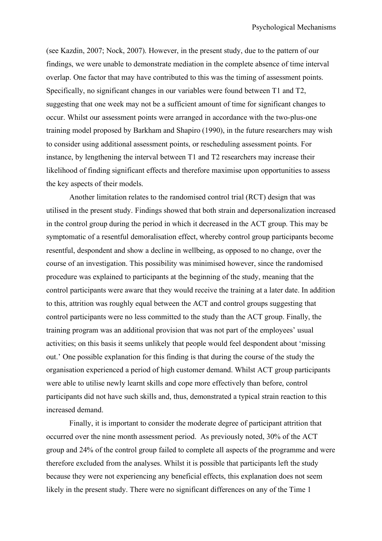(see Kazdin, 2007; Nock, 2007). However, in the present study, due to the pattern of our findings, we were unable to demonstrate mediation in the complete absence of time interval overlap. One factor that may have contributed to this was the timing of assessment points. Specifically, no significant changes in our variables were found between T1 and T2, suggesting that one week may not be a sufficient amount of time for significant changes to occur. Whilst our assessment points were arranged in accordance with the two-plus-one training model proposed by Barkham and Shapiro (1990), in the future researchers may wish to consider using additional assessment points, or rescheduling assessment points. For instance, by lengthening the interval between T1 and T2 researchers may increase their likelihood of finding significant effects and therefore maximise upon opportunities to assess the key aspects of their models.

Another limitation relates to the randomised control trial (RCT) design that was utilised in the present study. Findings showed that both strain and depersonalization increased in the control group during the period in which it decreased in the ACT group. This may be symptomatic of a resentful demoralisation effect, whereby control group participants become resentful, despondent and show a decline in wellbeing, as opposed to no change, over the course of an investigation. This possibility was minimised however, since the randomised procedure was explained to participants at the beginning of the study, meaning that the control participants were aware that they would receive the training at a later date. In addition to this, attrition was roughly equal between the ACT and control groups suggesting that control participants were no less committed to the study than the ACT group. Finally, the training program was an additional provision that was not part of the employees' usual activities; on this basis it seems unlikely that people would feel despondent about 'missing out.' One possible explanation for this finding is that during the course of the study the organisation experienced a period of high customer demand. Whilst ACT group participants were able to utilise newly learnt skills and cope more effectively than before, control participants did not have such skills and, thus, demonstrated a typical strain reaction to this increased demand.

Finally, it is important to consider the moderate degree of participant attrition that occurred over the nine month assessment period. As previously noted, 30% of the ACT group and 24% of the control group failed to complete all aspects of the programme and were therefore excluded from the analyses. Whilst it is possible that participants left the study because they were not experiencing any beneficial effects, this explanation does not seem likely in the present study. There were no significant differences on any of the Time 1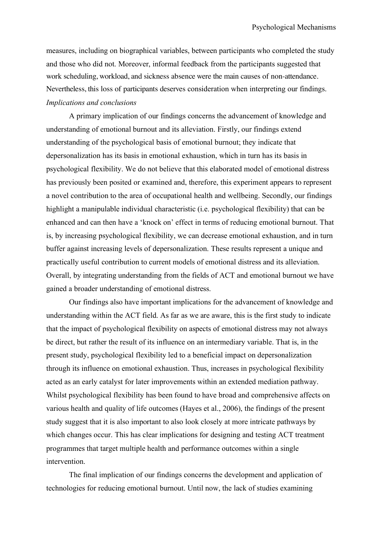measures, including on biographical variables, between participants who completed the study and those who did not. Moreover, informal feedback from the participants suggested that work scheduling, workload, and sickness absence were the main causes of non-attendance. Nevertheless, this loss of participants deserves consideration when interpreting our findings. *Implications and conclusions*

A primary implication of our findings concerns the advancement of knowledge and understanding of emotional burnout and its alleviation. Firstly, our findings extend understanding of the psychological basis of emotional burnout; they indicate that depersonalization has its basis in emotional exhaustion, which in turn has its basis in psychological flexibility. We do not believe that this elaborated model of emotional distress has previously been posited or examined and, therefore, this experiment appears to represent a novel contribution to the area of occupational health and wellbeing. Secondly, our findings highlight a manipulable individual characteristic (i.e. psychological flexibility) that can be enhanced and can then have a 'knock on' effect in terms of reducing emotional burnout. That is, by increasing psychological flexibility, we can decrease emotional exhaustion, and in turn buffer against increasing levels of depersonalization. These results represent a unique and practically useful contribution to current models of emotional distress and its alleviation. Overall, by integrating understanding from the fields of ACT and emotional burnout we have gained a broader understanding of emotional distress.

Our findings also have important implications for the advancement of knowledge and understanding within the ACT field. As far as we are aware, this is the first study to indicate that the impact of psychological flexibility on aspects of emotional distress may not always be direct, but rather the result of its influence on an intermediary variable. That is, in the present study, psychological flexibility led to a beneficial impact on depersonalization through its influence on emotional exhaustion. Thus, increases in psychological flexibility acted as an early catalyst for later improvements within an extended mediation pathway. Whilst psychological flexibility has been found to have broad and comprehensive affects on various health and quality of life outcomes (Hayes et al., 2006), the findings of the present study suggest that it is also important to also look closely at more intricate pathways by which changes occur. This has clear implications for designing and testing ACT treatment programmes that target multiple health and performance outcomes within a single intervention.

The final implication of our findings concerns the development and application of technologies for reducing emotional burnout. Until now, the lack of studies examining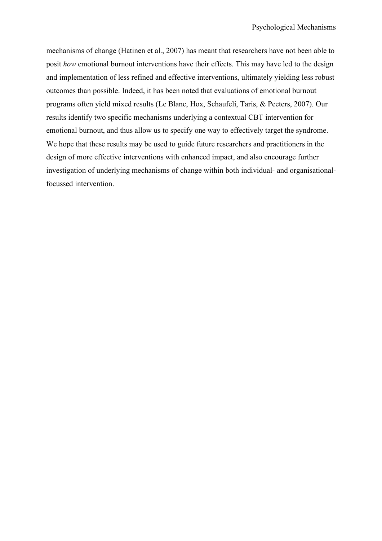mechanisms of change (Hatinen et al., 2007) has meant that researchers have not been able to posit *how* emotional burnout interventions have their effects. This may have led to the design and implementation of less refined and effective interventions, ultimately yielding less robust outcomes than possible. Indeed, it has been noted that evaluations of emotional burnout programs often yield mixed results (Le Blanc, Hox, Schaufeli, Taris, & Peeters, 2007). Our results identify two specific mechanisms underlying a contextual CBT intervention for emotional burnout, and thus allow us to specify one way to effectively target the syndrome. We hope that these results may be used to guide future researchers and practitioners in the design of more effective interventions with enhanced impact, and also encourage further investigation of underlying mechanisms of change within both individual- and organisationalfocussed intervention.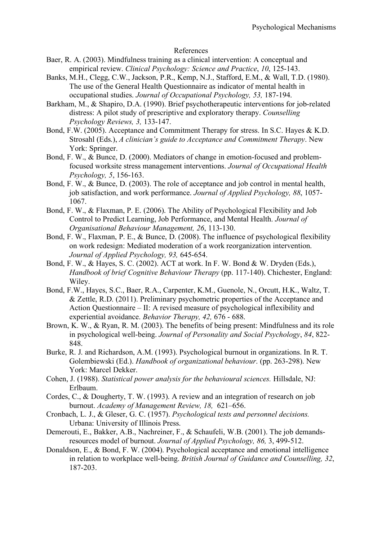## References

- Baer, R. A. (2003). Mindfulness training as a clinical intervention: A conceptual and empirical review. *Clinical Psychology: Science and Practice*, *10*, 125-143.
- Banks, M.H., Clegg, C.W., Jackson, P.R., Kemp, N.J., Stafford, E.M., & Wall, T.D. (1980). The use of the General Health Questionnaire as indicator of mental health in occupational studies. *Journal of Occupational Psychology, 53,* 187-194.
- Barkham, M., & Shapiro, D.A. (1990). Brief psychotherapeutic interventions for job-related distress: A pilot study of prescriptive and exploratory therapy. *Counselling Psychology Reviews, 3,* 133-147.
- Bond, F.W. (2005). Acceptance and Commitment Therapy for stress. In S.C. Hayes & K.D. Strosahl (Eds.), *A clinician's guide to Acceptance and Commitment Therapy*. New York: Springer.
- Bond, F. W., & Bunce, D. (2000). Mediators of change in emotion-focused and problemfocused worksite stress management interventions. *Journal of Occupational Health Psychology, 5*, 156-163.
- Bond, F. W., & Bunce, D. (2003). The role of acceptance and job control in mental health, job satisfaction, and work performance. *Journal of Applied Psychology, 88*, 1057- 1067.
- Bond, F. W., & Flaxman, P. E. (2006). The Ability of Psychological Flexibility and Job Control to Predict Learning, Job Performance, and Mental Health. *Journal of Organisational Behaviour Management, 26*, 113-130.
- Bond, F. W., Flaxman, P. E., & Bunce, D. (2008). The influence of psychological flexibility on work redesign: Mediated moderation of a work reorganization intervention. *Journal of Applied Psychology, 93,* 645-654.
- Bond, F. W., & Hayes, S. C. (2002). ACT at work. In F. W. Bond & W. Dryden (Eds.), *Handbook of brief Cognitive Behaviour Therapy* (pp. 117-140). Chichester, England: Wiley.
- Bond, F.W., Hayes, S.C., Baer, R.A., Carpenter, K.M., Guenole, N., Orcutt, H.K., Waltz, T. & Zettle, R.D. (2011). Preliminary psychometric properties of the Acceptance and Action Questionnaire – II: A revised measure of psychological inflexibility and experiential avoidance. *Behavior Therapy, 42,* 676 - 688.
- Brown, K. W., & Ryan, R. M. (2003). The benefits of being present: Mindfulness and its role in psychological well-being. *Journal of Personality and Social Psychology*, *84*, 822- 848.
- Burke, R. J. and Richardson, A.M. (1993). Psychological burnout in organizations. In R. T. Golembiewski (Ed.). *Handbook of organizational behaviour*. (pp. 263-298). New York: Marcel Dekker.
- Cohen, J. (1988). *Statistical power analysis for the behavioural sciences.* Hillsdale, NJ: Erlbaum.
- Cordes, C., & Dougherty, T. W. (1993). A review and an integration of research on job burnout. *Academy of Management Review, 18,* 621–656.
- Cronbach, L. J., & Gleser, G. C. (1957). *Psychological tests and personnel decisions.*  Urbana: University of Illinois Press.
- Demerouti, E., Bakker, A.B., Nachreiner, F., & Schaufeli, W.B. (2001). The job demandsresources model of burnout. *Journal of Applied Psychology, 86,* 3, 499-512.
- Donaldson, E., & Bond, F. W. (2004). Psychological acceptance and emotional intelligence in relation to workplace well-being. *British Journal of Guidance and Counselling, 32*, 187-203.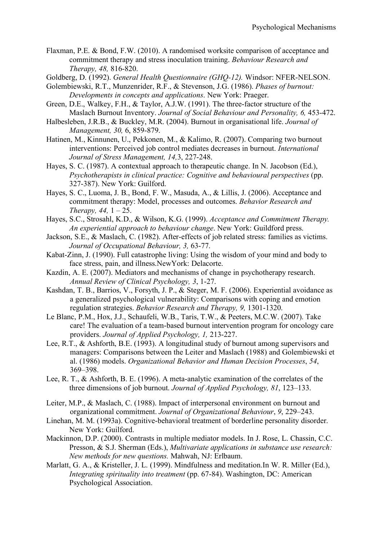- Flaxman, P.E. & Bond, F.W. (2010). A randomised worksite comparison of acceptance and commitment therapy and stress inoculation training. *Behaviour Research and Therapy, 48,* 816-820.
- Goldberg, D. (1992). *General Health Questionnaire (GHQ-12).* Windsor: NFER-NELSON.
- Golembiewski, R.T., Munzenrider, R.F., & Stevenson, J.G. (1986). *Phases of burnout: Developments in concepts and applications*. New York: Praeger.
- Green, D.E., Walkey, F.H., & Taylor, A.J.W. (1991). The three-factor structure of the Maslach Burnout Inventory. *Journal of Social Behaviour and Personality, 6,* 453-472.
- Halbesleben, J.R.B., & Buckley, M.R. (2004). Burnout in organisational life. *Journal of Management, 30,* 6, 859-879.
- Hatinen, M., Kinnunen, U., Pekkonen, M., & Kalimo, R. (2007). Comparing two burnout interventions: Perceived job control mediates decreases in burnout. *International Journal of Stress Management, 14,*3, 227-248.
- Hayes, S. C. (1987). A contextual approach to therapeutic change. In N. Jacobson (Ed.), *Psychotherapists in clinical practice: Cognitive and behavioural perspectives* (pp. 327-387). New York: Guilford.
- Hayes, S. C., Luoma, J. B., Bond, F. W., Masuda, A., & Lillis, J. (2006). Acceptance and commitment therapy: Model, processes and outcomes. *Behavior Research and Therapy, 44,* 1 – 25.
- Hayes, S.C., Strosahl, K.D., & Wilson, K.G. (1999). *Acceptance and Commitment Therapy. An experiential approach to behaviour change*. New York: Guildford press.
- Jackson, S.E., & Maslach, C. (1982). After-effects of job related stress: families as victims. *Journal of Occupational Behaviour, 3,* 63-77.
- Kabat-Zinn, J. (1990). Full catastrophe living: Using the wisdom of your mind and body to face stress, pain, and illness.NewYork: Delacorte.
- Kazdin, A. E. (2007). Mediators and mechanisms of change in psychotherapy research. *Annual Review of Clinical Psychology, 3*, 1-27.
- Kashdan, T. B., Barrios, V., Forsyth, J. P., & Steger, M. F. (2006). Experiential avoidance as a generalized psychological vulnerability: Comparisons with coping and emotion regulation strategies. *Behavior Research and Therapy, 9,* 1301-1320.
- Le Blanc, P.M., Hox, J.J., Schaufeli, W.B., Taris, T.W., & Peeters, M.C.W. (2007). Take care! The evaluation of a team-based burnout intervention program for oncology care providers. *Journal of Applied Psychology, 1,* 213-227.
- Lee, R.T., & Ashforth, B.E. (1993). A longitudinal study of burnout among supervisors and managers: Comparisons between the Leiter and Maslach (1988) and Golembiewski et al. (1986) models. *Organizational Behavior and Human Decision Processes*, *54*, 369–398.
- Lee, R. T., & Ashforth, B. E. (1996). A meta-analytic examination of the correlates of the three dimensions of job burnout. *Journal of Applied Psychology, 81*, 123–133.
- Leiter, M.P., & Maslach, C. (1988). Impact of interpersonal environment on burnout and organizational commitment. *Journal of Organizational Behaviour*, *9*, 229–243.
- Linehan, M. M. (1993a). Cognitive-behavioral treatment of borderline personality disorder. New York: Guilford.
- Mackinnon, D.P. (2000). Contrasts in multiple mediator models. In J. Rose, L. Chassin, C.C. Presson, & S.J. Sherman (Eds.), *Multivariate applications in substance use research: New methods for new questions.* Mahwah, NJ: Erlbaum.
- Marlatt, G. A., & Kristeller, J. L. (1999). Mindfulness and meditation.In W. R. Miller (Ed.), *Integrating spirituality into treatment* (pp. 67-84). Washington, DC: American Psychological Association.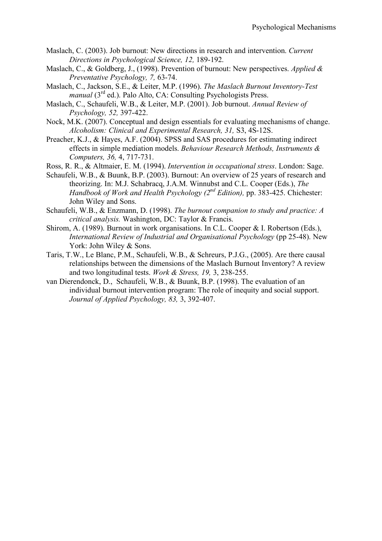- Maslach, C. (2003). Job burnout: New directions in research and intervention. *Current Directions in Psychological Science, 12,* 189-192.
- Maslach, C., & Goldberg, J., (1998). Prevention of burnout: New perspectives. *Applied & Preventative Psychology, 7,* 63-74.
- Maslach, C., Jackson, S.E., & Leiter, M.P. (1996). *The Maslach Burnout Inventory-Test manual* (3<sup>rd</sup> ed.). Palo Alto, CA: Consulting Psychologists Press.
- Maslach, C., Schaufeli, W.B., & Leiter, M.P. (2001). Job burnout. *Annual Review of Psychology, 52,* 397-422.
- Nock, M.K. (2007). Conceptual and design essentials for evaluating mechanisms of change. *Alcoholism: Clinical and Experimental Research, 31,* S3, 4S-12S.
- Preacher, K.J., & Hayes, A.F. (2004). SPSS and SAS procedures for estimating indirect effects in simple mediation models. *Behaviour Research Methods, Instruments & Computers, 36,* 4, 717-731.
- Ross, R. R., & Altmaier, E. M. (1994). *Intervention in occupational stress*. London: Sage.
- Schaufeli, W.B., & Buunk, B.P. (2003). Burnout: An overview of 25 years of research and theorizing. In: M.J. Schabracq, J.A.M. Winnubst and C.L. Cooper (Eds.), *The Handbook of Work and Health Psychology (2nd Edition),* pp. 383-425. Chichester: John Wiley and Sons.
- Schaufeli, W.B., & Enzmann, D. (1998). *The burnout companion to study and practice: A critical analysis.* Washington, DC: Taylor & Francis.
- Shirom, A. (1989). Burnout in work organisations. In C.L. Cooper & I. Robertson (Eds.), *International Review of Industrial and Organisational Psychology* (pp 25-48). New York: John Wiley & Sons.
- Taris, T.W., Le Blanc, P.M., Schaufeli, W.B., & Schreurs, P.J.G., (2005). Are there causal relationships between the dimensions of the Maslach Burnout Inventory? A review and two longitudinal tests. *Work & Stress, 19,* 3, 238-255.
- van Dierendonck, D., Schaufeli, W.B., & Buunk, B.P. (1998). The evaluation of an individual burnout intervention program: The role of inequity and social support. *Journal of Applied Psychology, 83,* 3, 392-407.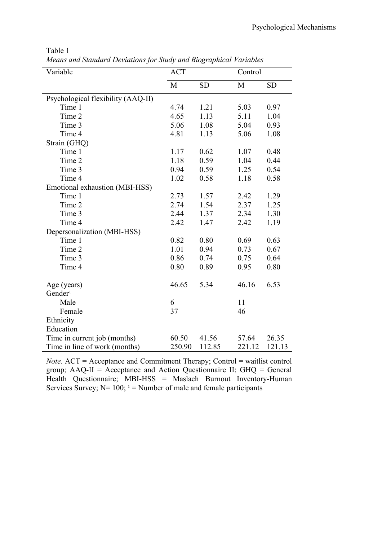| anie |  |
|------|--|
|      |  |

*Means and Standard Deviations for Study and Biographical Variables*

| Variable                           | <b>ACT</b>     |        | Control |           |  |
|------------------------------------|----------------|--------|---------|-----------|--|
|                                    | M<br><b>SD</b> |        | M       | <b>SD</b> |  |
|                                    |                |        |         |           |  |
| Psychological flexibility (AAQ-II) |                |        |         |           |  |
| Time 1                             | 4.74           | 1.21   | 5.03    | 0.97      |  |
| Time 2                             | 4.65           | 1.13   | 5.11    | 1.04      |  |
| Time 3                             | 5.06           | 1.08   | 5.04    | 0.93      |  |
| Time 4                             | 4.81           | 1.13   | 5.06    | 1.08      |  |
| Strain (GHQ)                       |                |        |         |           |  |
| Time 1                             | 1.17           | 0.62   | 1.07    | 0.48      |  |
| Time 2                             | 1.18           | 0.59   | 1.04    | 0.44      |  |
| Time 3                             | 0.94           | 0.59   | 1.25    | 0.54      |  |
| Time 4                             | 1.02           | 0.58   | 1.18    | 0.58      |  |
| Emotional exhaustion (MBI-HSS)     |                |        |         |           |  |
| Time 1                             | 2.73           | 1.57   | 2.42    | 1.29      |  |
| Time 2                             | 2.74           | 1.54   | 2.37    | 1.25      |  |
| Time 3                             | 2.44           | 1.37   | 2.34    | 1.30      |  |
| Time 4                             | 2.42           | 1.47   | 2.42    | 1.19      |  |
| Depersonalization (MBI-HSS)        |                |        |         |           |  |
| Time 1                             | 0.82           | 0.80   | 0.69    | 0.63      |  |
| Time 2                             | 1.01           | 0.94   | 0.73    | 0.67      |  |
| Time 3                             | 0.86           | 0.74   | 0.75    | 0.64      |  |
| Time 4                             | 0.80           | 0.89   | 0.95    | 0.80      |  |
| Age (years)                        | 46.65          | 5.34   | 46.16   | 6.53      |  |
| Gender <sup>1</sup>                |                |        |         |           |  |
| Male                               | 6              |        | 11      |           |  |
| Female                             | 37             |        | 46      |           |  |
| Ethnicity                          |                |        |         |           |  |
| Education                          |                |        |         |           |  |
| Time in current job (months)       | 60.50          | 41.56  | 57.64   | 26.35     |  |
| Time in line of work (months)      | 250.90         | 112.85 | 221.12  | 121.13    |  |

*Note.* ACT = Acceptance and Commitment Therapy; Control = waitlist control group;  $AAQ-II = Acceptance$  and Action Questionnaire II;  $GHQ = General$ Health Questionnaire; MBI-HSS = Maslach Burnout Inventory-Human Services Survey;  $N= 100$ ;  $1 =$  Number of male and female participants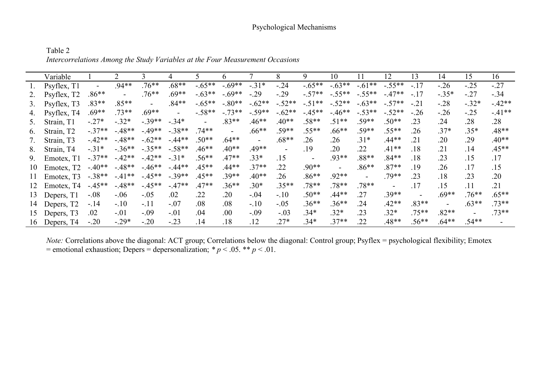## Psychological Mechanisms

Table 2 *Intercorrelations Among the Study Variables at the Four Measurement Occasions*

|                  | Variable                |          |         |          |          |                | h              |          | 8        |          | 10       |          | 12             | 13      | 14      | 15      | 16       |
|------------------|-------------------------|----------|---------|----------|----------|----------------|----------------|----------|----------|----------|----------|----------|----------------|---------|---------|---------|----------|
|                  | Psyflex, T1             |          | $.94**$ | $.76**$  | $.68**$  | $-.65**$       | $-.69**$       | $-.31*$  | $-.24$   | $-.65**$ | $-.63**$ | $-.61**$ | $-.55**$       | $-.17$  | $-.26$  | $-.25$  | $-27$    |
|                  | Psyflex, T <sub>2</sub> | $.86**$  |         | $.76**$  | $.69**$  | $-.63**$       | $-.69**$       | $-.29$   | $-.29$   | $-.57**$ | $-.55**$ | $-.55**$ | $-.47**$       | $-.17$  | $-.35*$ | $-.27$  | $-.34$   |
| 3.               | Psyflex, T3             | $.83**$  | $.85**$ |          | $.84**$  | $-0.65**$      | $-.80**$       | $-.62**$ | $-.52**$ | $-.51**$ | $-.52**$ | $-.63**$ | $-57**$        | $-.21$  | $-.28$  | $-.32*$ | $-.42**$ |
| 4.               | Psyflex, T4             | $.69**$  | $.73**$ | $.69**$  | $\sim$   | $-.58**$       | $-.73**$       | $-.59**$ | $-.62**$ | $-45**$  | $-46**$  | $-.53**$ | $-.52**$       | $-.26$  | $-26$   | $-.25$  | $-41**$  |
|                  | Strain, T1              | $-.27*$  | $-.32*$ | $-39**$  | $-.34*$  | $\blacksquare$ | $.83**$        | $.46**$  | $.40**$  | $.58**$  | $.51**$  | $.59**$  | $.50**$        | .23     | .24     | .28     | .28      |
| $\mathfrak{b}$ . | Strain, T <sub>2</sub>  | $-.37**$ | $-48**$ | $-49**$  | $-.38**$ | $.74**$        | $\blacksquare$ | $.66**$  | $.59**$  | $.55**$  | $.66**$  | $.59**$  | $.55**$        | .26     | $37*$   | $.35*$  | $.48**$  |
|                  | Strain, T3              | $-42**$  | $-48**$ | $-.62**$ | $-44**$  | $.50**$        | $.64**$        |          | $.68**$  | .26      | .26      | $.31*$   | $.44**$        | .21     | .20     | .29     | $.40**$  |
| 8.               | Strain, T4              | $-.31*$  | $-36**$ | $-.35**$ | $-.58**$ | $.46**$        | $.40**$        | $.49**$  |          | .19      | .20      | .22      | $.41**$        | .18     | .21     | .14     | $.45**$  |
| 9.               | Emotex, T1              | $-.37**$ | $-42**$ | $-42**$  | $-.31*$  | $.56**$        | $.47**$        | $.33*$   | .15      |          | $.93**$  | $.88**$  | $.84**$        | .18     | 23      | .15     | .17      |
| 10               | Emotex, T <sub>2</sub>  | $-40**$  | $-48**$ | $-46**$  | $-44**$  | $.45**$        | $.44**$        | $37**$   | .22      | $.90**$  | -        | $.86**$  | $.87**$        | .19     | .26     | .17     | .15      |
| 11               | Emotex, T3              | $-.38**$ | $-41**$ | $-45**$  | $-.39**$ | $.45**$        | $.39**$        | $.40**$  | .26      | $.86**$  | $.92**$  |          | $.79**$        | .23     | .18     | 23      | .20      |
| 12               | Emotex, T4              | $-45**$  | $-48**$ | $-45**$  | $-.47**$ | $.47**$        | $.36**$        | $.30*$   | $.35**$  | $.78**$  | $.78**$  | $.78**$  | $\blacksquare$ | .17     | .15     | .11     | .21      |
| 13               | Depers, T1              | $-.08$   | $-.06$  | $-.05$   | .02      | .22            | .20            | $-.04$   | $-.10$   | $.50**$  | $.44**$  | .27      | $.39**$        |         | $.69**$ | $.76**$ | $.65**$  |
| 14               | Depers, T <sub>2</sub>  | $-.14$   | $-.10$  | -.11     | $-.07$   | .08            | .08            | $-.10$   | $-.05$   | $.36**$  | $.36**$  | .24      | $.42**$        | $.83**$ |         | $.63**$ | $.73**$  |
| $15-15$          | Depers, T <sub>3</sub>  | .02      | $-.01$  | $-.09$   | $-.01$   | .04            | .00.           | $-.09$   | $-.03$   | $34*$    | $.32*$   | 23       | $.32*$         | $.75**$ | $.82**$ |         | $.73**$  |
|                  | 16 Depers, T4           | $-.20$   | $-.29*$ | $-.20$   | $-.23$   | .14            | .18            | 12       | $27*$    | $34*$    | $.37**$  | .22      | $.48**$        | $.56**$ | $.64**$ | $.54**$ |          |

*Note:* Correlations above the diagonal: ACT group; Correlations below the diagonal: Control group; Psyflex = psychological flexibility; Emotex = emotional exhaustion; Depers = depersonalization;  $* p < .05$ .  $* p < .01$ .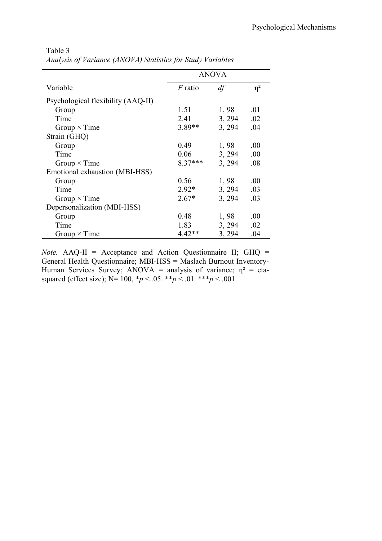|                                    | <b>ANOVA</b> |        |          |
|------------------------------------|--------------|--------|----------|
| Variable                           | $F$ ratio    | df     | $\eta^2$ |
| Psychological flexibility (AAQ-II) |              |        |          |
| Group                              | 1.51         | 1,98   | .01      |
| Time                               | 2.41         | 3, 294 | .02      |
| Group $\times$ Time                | 3.89**       | 3, 294 | .04      |
| Strain (GHQ)                       |              |        |          |
| Group                              | 0.49         | 1,98   | .00      |
| Time                               | 0.06         | 3, 294 | .00      |
| Group $\times$ Time                | $8.37***$    | 3, 294 | .08      |
| Emotional exhaustion (MBI-HSS)     |              |        |          |
| Group                              | 0.56         | 1,98   | .00      |
| Time                               | $2.92*$      | 3, 294 | .03      |
| Group $\times$ Time                | $2.67*$      | 3, 294 | .03      |
| Depersonalization (MBI-HSS)        |              |        |          |
| Group                              | 0.48         | 1,98   | .00      |
| Time                               | 1.83         | 3, 294 | .02      |
| Group $\times$ Time                | $4.42**$     | 3, 294 | .04      |

Table 3 *Analysis of Variance (ANOVA) Statistics for Study Variables*

*Note.* AAQ-II = Acceptance and Action Questionnaire II; GHQ = General Health Questionnaire; MBI-HSS = Maslach Burnout Inventory-Human Services Survey; ANOVA = analysis of variance;  $\eta^2$  = etasquared (effect size); N= 100, \**p* < .05. \*\**p* < .01. \*\*\**p* < .001.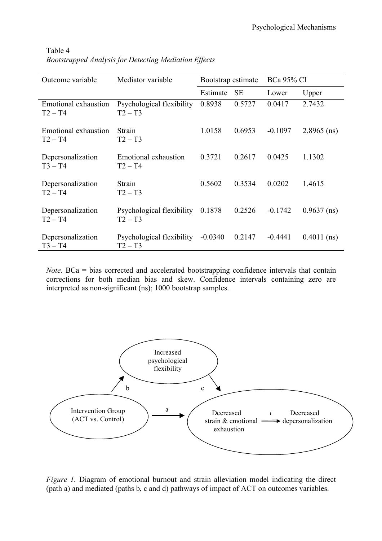| Outcome variable                  | Mediator variable                      | Bootstrap estimate |           | <b>BCa 95% CI</b> |               |  |
|-----------------------------------|----------------------------------------|--------------------|-----------|-------------------|---------------|--|
|                                   |                                        | Estimate           | <b>SE</b> | Lower             | Upper         |  |
| Emotional exhaustion<br>$T2 - T4$ | Psychological flexibility<br>$T2 - T3$ | 0.8938             | 0.5727    | 0.0417            | 2.7432        |  |
| Emotional exhaustion<br>$T2 - T4$ | Strain<br>$T2 - T3$                    | 1.0158             | 0.6953    | $-0.1097$         | $2.8965$ (ns) |  |
| Depersonalization<br>$T3 - T4$    | Emotional exhaustion<br>$T2 - T4$      | 0.3721             | 0.2617    | 0.0425            | 1.1302        |  |
| Depersonalization<br>$T2 - T4$    | Strain<br>$T2 - T3$                    | 0.5602             | 0.3534    | 0.0202            | 1.4615        |  |
| Depersonalization<br>$T2 - T4$    | Psychological flexibility<br>$T2 - T3$ | 0.1878             | 0.2526    | $-0.1742$         | $0.9637$ (ns) |  |
| Depersonalization<br>$T3 - T4$    | Psychological flexibility<br>$T2 - T3$ | $-0.0340$          | 0.2147    | $-0.4441$         | $0.4011$ (ns) |  |

Table 4 *Bootstrapped Analysis for Detecting Mediation Effects*

*Note.* BCa = bias corrected and accelerated bootstrapping confidence intervals that contain corrections for both median bias and skew. Confidence intervals containing zero are interpreted as non-significant (ns); 1000 bootstrap samples.



*Figure 1.* Diagram of emotional burnout and strain alleviation model indicating the direct (path a) and mediated (paths b, c and d) pathways of impact of ACT on outcomes variables.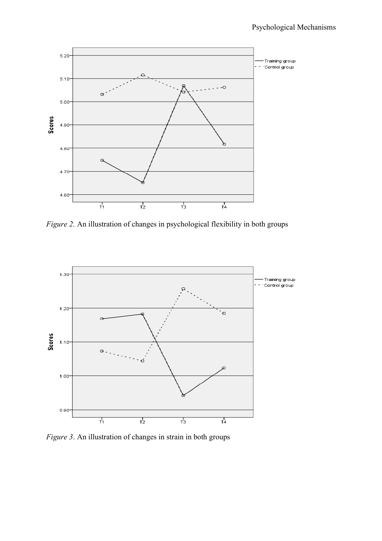

*Figure 2*. An illustration of changes in psychological flexibility in both groups



*Figure 3*. An illustration of changes in strain in both groups